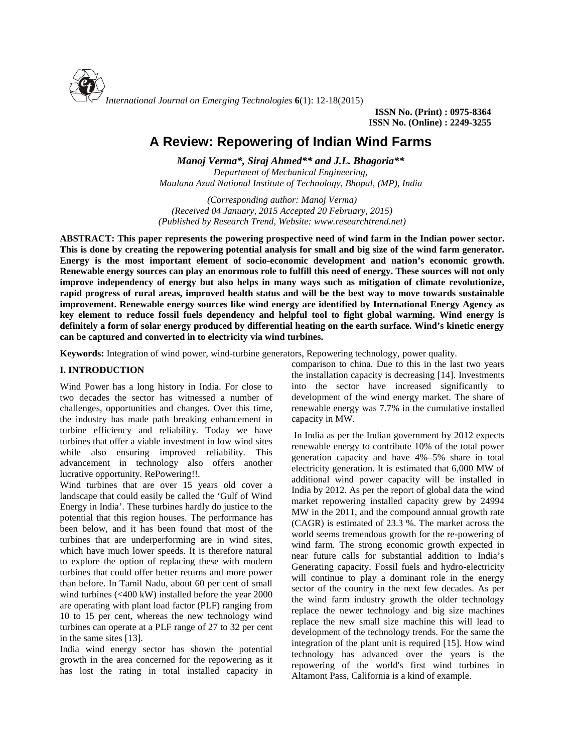

**ISSN No. (Print) : 0975-8364 ISSN No. (Online) : 2249-3255**

# **A Review: Repowering of Indian Wind Farms**

*Manoj Verma\*, Siraj Ahmed\*\* and J.L.Bhagoria\*\* Department of Mechanical Engineering, Maulana Azad National Institute of Technology, Bhopal, (MP), India*

*(Corresponding author: Manoj Verma) (Received 04 January, 2015 Accepted 20 February, 2015) (Published by Research Trend, Website: [www.researchtrend.net\)](www.researchtrend.net)*

**ABSTRACT: This paper represents the powering prospective need of wind farm in the Indian power sector. This is done by creating the repowering potential analysis for small and big size of the wind farm generator. Energy is the most important element of socio-economic development and nation's economic growth. Renewable energy sources can play an enormous role to fulfill this need of energy. These sources will not only improve independency of energy but also helps in many ways such as mitigation of climate revolutionize, rapid progress of rural areas, improved health status and will be the best way to move towards sustainable improvement. Renewable energy sources like wind energy are identified by International Energy Agency as key element to reduce fossil fuels dependency and helpful tool to fight global warming. Wind energy is definitely a form of solar energy produced by differential heating on the earth surface. Wind's kinetic energy can be captured and converted in to electricity via wind turbines.**

**Keywords:** Integration of wind power, wind-turbine generators, Repowering technology, power quality.

# **I. INTRODUCTION**

Wind Power has a long history in India. For close to two decades the sector has witnessed a number of challenges, opportunities and changes. Over this time, the industry has made path breaking enhancement in turbine efficiency and reliability. Today we have turbines that offer a viable investment in low wind sites while also ensuring improved reliability. This advancement in technology also offers another lucrative opportunity. RePowering!!.

Wind turbines that are over 15 years old cover a landscape that could easily be called the 'Gulf of Wind Energy in India'. These turbines hardly do justice to the potential that this region houses. The performance has been below, and it has been found that most of the turbines that are underperforming are in wind sites, which have much lower speeds. It is therefore natural to explore the option of replacing these with modern turbines that could offer better returns and more power than before. In Tamil Nadu, about 60 per cent of small wind turbines (<400 kW) installed before the year 2000 are operating with plant load factor (PLF) ranging from 10 to 15 per cent, whereas the new technology wind turbines can operate at a PLF range of 27 to 32 per cent in the same sites [13].

India wind energy sector has shown the potential growth in the area concerned for the repowering as it has lost the rating in total installed capacity in comparison to china. Due to this in the last two years the installation capacity is decreasing [14]. Investments into the sector have increased significantly to development of the wind energy market. The share of renewable energy was 7.7% in the cumulative installed capacity in MW.

In India as per the Indian government by 2012 expects renewable energy to contribute 10% of the total power generation capacity and have 4%–5% share in total electricity generation. It is estimated that 6,000 MW of additional wind power capacity will be installed in India by 2012. As per the report of global data the wind market repowering installed capacity grew by 24994 MW in the 2011, and the compound annual growth rate (CAGR) is estimated of 23.3 %. The market across the world seems tremendous growth for the re-powering of wind farm. The strong economic growth expected in near future calls for substantial addition to India's Generating capacity. Fossil fuels and hydro-electricity will continue to play a dominant role in the energy sector of the country in the next few decades. As per the wind farm industry growth the older technology replace the newer technology and big size machines replace the new small size machine this will lead to development of the technology trends. For the same the integration of the plant unit is required [15]. How wind technology has advanced over the years is the repowering of the world's first wind turbines in Altamont Pass, California is a kind of example.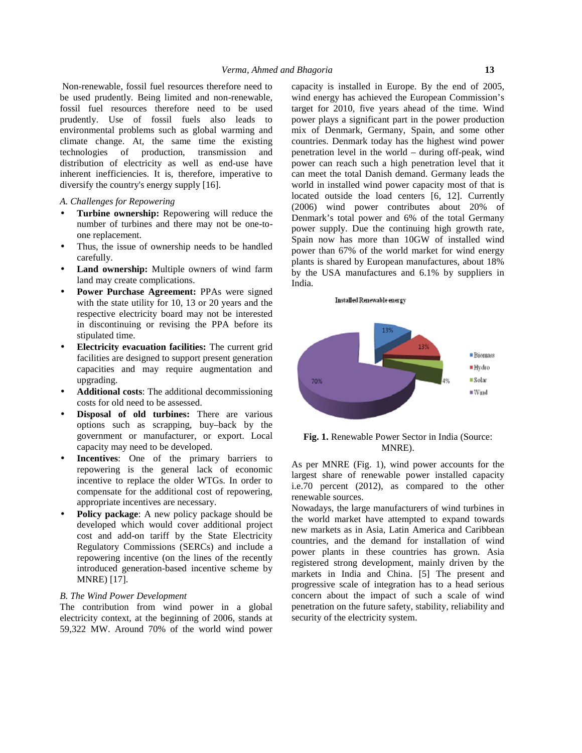Non-renewable, fossil fuel resources therefore need to be used prudently. Being limited and non-renewable, fossil fuel resources therefore need to be used prudently. Use of fossil fuels also leads to environmental problems such as global warming and climate change. At, the same time the existing technologies of production, transmission and distribution of electricity as well as end-use have inherent inefficiencies. It is, therefore, imperative to diversify the country's energy supply [16].

### *A. Challenges for Repowering*

- **Turbine ownership:** Repowering will reduce the number of turbines and there may not be one-to one replacement.
- Thus, the issue of ownership needs to be handled carefully.
- **Land ownership:** Multiple owners of wind farm land may create complications.
- **Power Purchase Agreement:** PPAs were signed with the state utility for 10, 13 or 20 years and the respective electricity board may not be interested in discontinuing or revising the PPA before its stipulated time.
- **Electricity evacuation facilities:** The current grid facilities are designed to support present generation capacities and may require augmentation and upgrading.
- **Additional costs**: The additional decommissioning costs for old need to be assessed.
- **Disposal of old turbines:** There are various options such as scrapping, buy–back by the government or manufacturer, or export. Local capacity may need to be developed.
- **Incentives:** One of the primary barriers to repowering is the general lack of economic incentive to replace the older WTGs. In order to compensate for the additional cost of repowering, appropriate incentives are necessary.
- **Policy package:** A new policy package should be developed which would cover additional project cost and add-on tariff by the State Electricity Regulatory Commissions (SERCs) and include a repowering incentive (on the lines of the recently introduced generation-based incentive scheme by MNRE) [17].

# *B. The Wind Power Development*

The contribution from wind power in a global electricity context, at the beginning of 2006, stands at 59,322 MW. Around 70% of the world wind power capacity is installed in Europe. By the end of 2005, wind energy has achieved the European Commission's target for 2010, five years ahead of the time. Wind power plays a significant part in the power production mix of Denmark, Germany, Spain, and some other countries. Denmark today has the highest wind power penetration level in the world – during off-peak, wind power can reach such a high penetration level that it can meet the total Danish demand. Germany leads the world in installed wind power capacity most of that is located outside the load centers [6, 12]. Currently (2006) wind power contributes about 20% of Denmark's total power and 6% of the total Germany power supply. Due the continuing high growth rate, Spain now has more than 10GW of installed wind power than 67% of the world market for wind energy plants is shared by European manufactures, about 18% by the USA manufactures and 6.1% by suppliers in India.

#### Installed Renewable energy



**Fig. 1.** Renewable Power Sector in India (Source: MNRE).

As per MNRE (Fig. 1), wind power accounts for the largest share of renewable power installed capacity i.e.70 percent (2012), as compared to the other renewable sources.

Nowadays, the large manufacturers of wind turbines in the world market have attempted to expand towards new markets as in Asia, Latin America and Caribbean countries, and the demand for installation of wind power plants in these countries has grown. Asia registered strong development, mainly driven by the markets in India and China. [5] The present and progressive scale of integration has to a head serious concern about the impact of such a scale of wind penetration on the future safety, stability, reliability and security of the electricity system.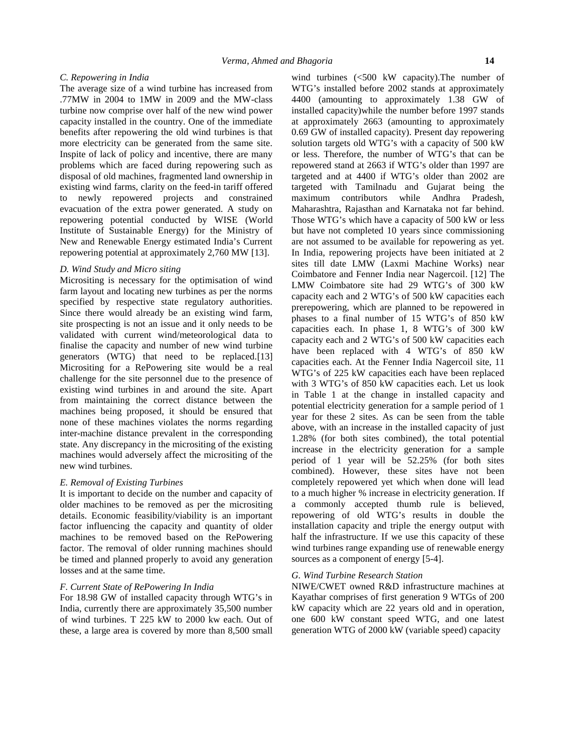## *C. Repowering in India*

The average size of a wind turbine has increased from .77MW in 2004 to 1MW in 2009 and the MW-class turbine now comprise over half of the new wind power capacity installed in the country. One of the immediate benefits after repowering the old wind turbines is that more electricity can be generated from the same site. Inspite of lack of policy and incentive, there are many problems which are faced during repowering such as disposal of old machines, fragmented land ownership in existing wind farms, clarity on the feed-in tariff offered to newly repowered projects and constrained evacuation of the extra power generated. A study on repowering potential conducted by WISE (World Institute of Sustainable Energy) for the Ministry of New and Renewable Energy estimated India's Current repowering potential at approximately 2,760 MW [13].

#### *D. Wind Study and Micro siting*

Micrositing is necessary for the optimisation of wind farm layout and locating new turbines as per the norms specified by respective state regulatory authorities. Since there would already be an existing wind farm, site prospecting is not an issue and it only needs to be validated with current wind/meteorological data to finalise the capacity and number of new wind turbine generators (WTG) that need to be replaced.[13] Micrositing for a RePowering site would be a real challenge for the site personnel due to the presence of existing wind turbines in and around the site. Apart from maintaining the correct distance between the machines being proposed, it should be ensured that none of these machines violates the norms regarding inter-machine distance prevalent in the corresponding state. Any discrepancy in the micrositing of the existing machines would adversely affect the micrositing of the new wind turbines.

### *E. Removal of Existing Turbines*

It is important to decide on the number and capacity of older machines to be removed as per the micrositing details. Economic feasibility/viability is an important factor influencing the capacity and quantity of older machines to be removed based on the RePowering factor. The removal of older running machines should be timed and planned properly to avoid any generation losses and at the same time.

#### *F. Current State of RePowering In India*

For 18.98 GW of installed capacity through WTG's in India, currently there are approximately 35,500 number of wind turbines. T 225 kW to 2000 kw each. Out of these, a large area is covered by more than 8,500 small wind turbines (<500 kW capacity).The number of WTG's installed before 2002 stands at approximately 4400 (amounting to approximately 1.38 GW of installed capacity)while the number before 1997 stands at approximately 2663 (amounting to approximately 0.69 GW of installed capacity). Present day repowering solution targets old WTG's with a capacity of 500 kW or less. Therefore, the number of WTG's that can be repowered stand at 2663 if WTG's older than 1997 are targeted and at 4400 if WTG's older than 2002 are targeted with Tamilnadu and Gujarat being the maximum contributors while Andhra Pradesh, Maharashtra, Rajasthan and Karnataka not far behind. Those WTG's which have a capacity of 500 kW or less but have not completed 10 years since commissioning are not assumed to be available for repowering as yet. In India, repowering projects have been initiated at 2 sites till date LMW (Laxmi Machine Works) near Coimbatore and Fenner India near Nagercoil. [12] The LMW Coimbatore site had 29 WTG's of 300 kW capacity each and 2 WTG's of 500 kW capacities each prerepowering, which are planned to be repowered in phases to a final number of 15 WTG's of 850 kW capacities each. In phase 1, 8 WTG's of 300 kW capacity each and 2 WTG's of 500 kW capacities each have been replaced with 4 WTG's of 850 kW capacities each. At the Fenner India Nagercoil site, 11 WTG's of 225 kW capacities each have been replaced with 3 WTG's of 850 kW capacities each. Let us look in Table 1 at the change in installed capacity and potential electricity generation for a sample period of 1 year for these 2 sites. As can be seen from the table above, with an increase in the installed capacity of just 1.28% (for both sites combined), the total potential increase in the electricity generation for a sample period of 1 year will be 52.25% (for both sites combined). However, these sites have not been completely repowered yet which when done will lead to a much higher % increase in electricity generation. If a commonly accepted thumb rule is believed, repowering of old WTG's results in double the installation capacity and triple the energy output with half the infrastructure. If we use this capacity of these wind turbines range expanding use of renewable energy sources as a component of energy [5-4].

# *G. Wind Turbine Research Station*

NIWE/CWET owned R&D infrastructure machines at Kayathar comprises of first generation 9 WTGs of 200 kW capacity which are 22 years old and in operation, one 600 kW constant speed WTG, and one latest generation WTG of 2000 kW (variable speed) capacity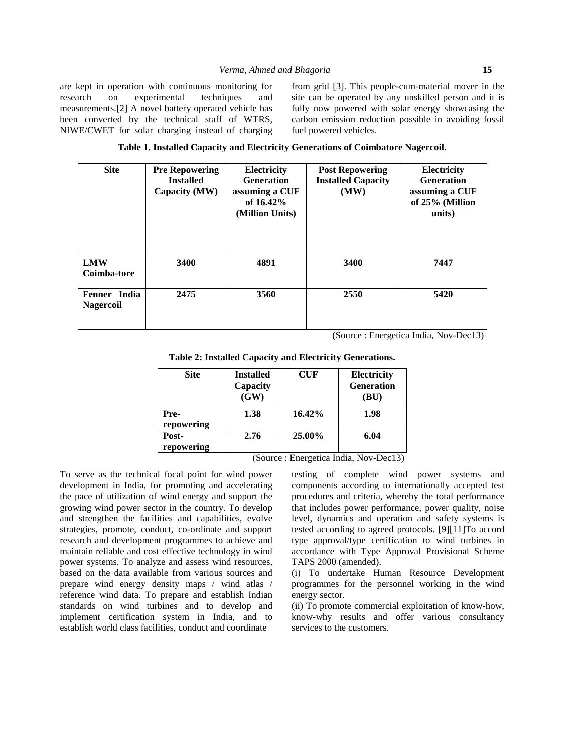are kept in operation with continuous monitoring for research on experimental techniques and measurements.[2] A novel battery operated vehicle has been converted by the technical staff of WTRS, NIWE/CWET for solar charging instead of charging from grid [3].This people-cum-material mover in the site can be operated by any unskilled person and it is fully now powered with solar energy showcasing the carbon emission reduction possible in avoiding fossil fuel powered vehicles.

|  |  | Table 1. Installed Capacity and Electricity Generations of Coimbatore Nagercoil. |
|--|--|----------------------------------------------------------------------------------|
|  |  |                                                                                  |

| <b>Site</b>                      | <b>Pre Repowering</b><br><b>Installed</b><br>Capacity (MW) | Electricity<br><b>Generation</b><br>assuming a CUF<br>of $16.42\%$<br>(Million Units) | <b>Post Repowering</b><br><b>Installed Capacity</b><br>(MW) | <b>Electricity</b><br><b>Generation</b><br>assuming a CUF<br>of 25% (Million<br>units) |  |
|----------------------------------|------------------------------------------------------------|---------------------------------------------------------------------------------------|-------------------------------------------------------------|----------------------------------------------------------------------------------------|--|
| <b>LMW</b><br>Coimba-tore        | 3400                                                       | 4891                                                                                  | 3400                                                        | 7447                                                                                   |  |
| Fenner India<br><b>Nagercoil</b> | 2475                                                       | 3560                                                                                  | 2550                                                        | 5420                                                                                   |  |

(Source : Energetica India, Nov-Dec13)

|  |  |  | Table 2: Installed Capacity and Electricity Generations. |  |
|--|--|--|----------------------------------------------------------|--|
|--|--|--|----------------------------------------------------------|--|

| <b>Site</b> | <b>Installed</b><br>Capacity<br>(GW) | CUF           | <b>Electricity</b><br><b>Generation</b><br>(BU) |
|-------------|--------------------------------------|---------------|-------------------------------------------------|
| Pre-        | 1.38                                 | 16.42%        | 1.98                                            |
| repowering  |                                      |               |                                                 |
| Post-       | 2.76                                 | 25.00%        | 6.04                                            |
| repowering  |                                      |               |                                                 |
|             | $\sim$                               | $\sim$<br>$-$ | $\sim$ $\sim$ $\sim$<br>.<br>$ -$<br>$-$        |

(Source : Energetica India, Nov-Dec13)

To serve as the technical focal point for wind power development in India, for promoting and accelerating the pace of utilization of wind energy and support the growing wind power sector in the country. To develop and strengthen the facilities and capabilities, evolve strategies, promote, conduct, co-ordinate and support research and development programmes to achieve and maintain reliable and cost effective technology in wind power systems. To analyze and assess wind resources, based on the data available from various sources and prepare wind energy density maps / wind atlas / reference wind data. To prepare and establish Indian standards on wind turbines and to develop and implement certification system in India, and to establish world class facilities, conduct and coordinate

testing of complete wind power systems and components according to internationally accepted test procedures and criteria, whereby the total performance that includes power performance, power quality, noise level, dynamics and operation and safety systems is tested according to agreed protocols. [9][11]To accord type approval/type certification to wind turbines in accordance with Type Approval Provisional Scheme TAPS 2000 (amended).

(i) To undertake Human Resource Development programmes for the personnel working in the wind energy sector.

(ii) To promote commercial exploitation of know-how, know-why results and offer various consultancy services to the customers.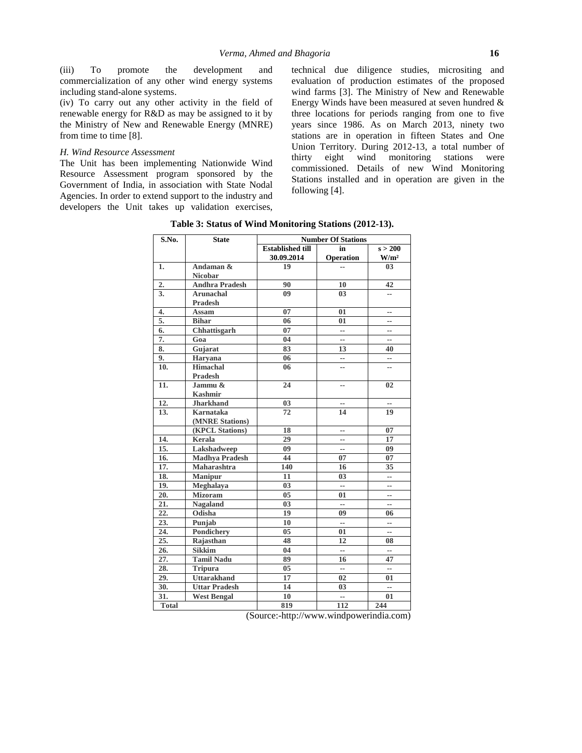(iii) To promote the development and commercialization of any other wind energy systems including stand-alone systems.

(iv) To carry out any other activity in the field of renewable energy for R&D as may be assigned to it by the Ministry of New and Renewable Energy (MNRE) from time to time [8].

#### *H. Wind Resource Assessment*

The Unit has been implementing Nationwide Wind thirty. Resource Assessment program sponsored by the Government of India, in association with State Nodal Agencies. In order to extend support to the industry and developers the Unit takes up validation exercises,

technical due diligence studies, micrositing and evaluation of production estimates of the proposed wind farms [3]. The Ministry of New and Renewable Energy Winds have been measured at seven hundred & three locations for periods ranging from one to five years since 1986. As on March 2013, ninety two stations are in operation in fifteen States and One Union Territory. During 2012-13, a total number of eight wind monitoring stations were commissioned. Details of new Wind Monitoring Stations installed and in operation are given in the following [4].

| <b>State</b>          | <b>Number Of Stations</b>       |                |                          |
|-----------------------|---------------------------------|----------------|--------------------------|
|                       | <b>Established till</b>         | in             | s > 200                  |
|                       | 30.09.2014                      | Operation      | W/m <sup>2</sup>         |
| Andaman &             | 19                              | --             | 03 <sup>2</sup>          |
| <b>Nicobar</b>        |                                 |                |                          |
| <b>Andhra Pradesh</b> | 90                              | 10             | 42                       |
| <b>Arunachal</b>      | 09                              | 03             | $\overline{a}$           |
| <b>Pradesh</b>        |                                 |                |                          |
| Assam                 | 07                              | 01             | --                       |
| <b>Bihar</b>          | 06                              | 01             | $-1$                     |
| Chhattisgarh          | 07                              | --             | --                       |
| Goa                   | 04                              | --             | $\overline{\phantom{a}}$ |
| Gujarat               | 83                              | 13             | 40                       |
| <b>Haryana</b>        | 06                              | --             | --                       |
| Himachal              | 06                              | --             | --                       |
| <b>Pradesh</b>        |                                 |                |                          |
| Jammu &               | 24                              | --             | 02                       |
| <b>Kashmir</b>        |                                 |                |                          |
| <b>Jharkhand</b>      | 03                              | --             | --                       |
| <b>Karnataka</b>      | 72                              | 14             | 19                       |
| (MNRE Stations)       |                                 |                |                          |
| (KPCL Stations)       | 18                              | --             | 07                       |
| Kerala                | 29                              | --             | 17                       |
| Lakshadweep           | 09                              | --             | 09                       |
| <b>Madhya Pradesh</b> | 44                              | 07             | 07                       |
| Maharashtra           | 140                             | 16             | 35                       |
| <b>Manipur</b>        | 11                              | 03             | $- -$                    |
|                       | 03                              | --             | --                       |
| <b>Mizoram</b>        | 05                              | 01             | --                       |
| <b>Nagaland</b>       | 03                              | --             | $\overline{\phantom{a}}$ |
| Odisha                | 19                              | 09             | 06                       |
| Punjab                | 10                              | --             | --                       |
| Pondichery            | 0 <sub>5</sub>                  | 01             | --                       |
| Rajasthan             | 48                              | 12             | 08                       |
| <b>Sikkim</b>         | 04                              | --             | $\overline{\phantom{a}}$ |
| <b>Tamil Nadu</b>     | 89                              | 16             | 47                       |
| <b>Tripura</b>        | 05                              | --             | $-$                      |
| <b>Uttarakhand</b>    | 17                              | 02             | 01                       |
| <b>Uttar Pradesh</b>  | 14                              | 0 <sub>3</sub> | --                       |
|                       | 10                              | --             | 01                       |
|                       | 819                             | 112            | 244                      |
|                       | Meghalaya<br><b>West Bengal</b> |                |                          |

**Table 3: Status of Wind Monitoring Stations (2012-13).**

(Source:[-http://www.windpowerindia.com\)](http://www.windpowerindia.com)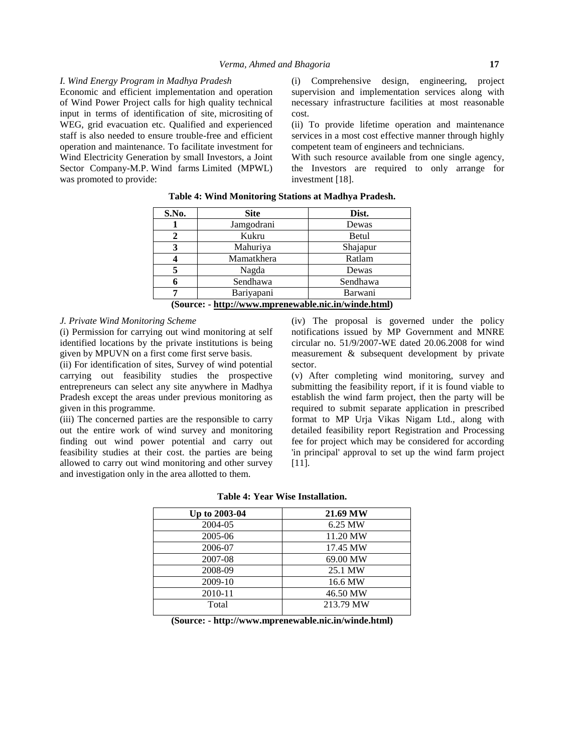#### *I. Wind Energy Program in Madhya Pradesh*

Economic and efficient implementation and operation of Wind Power Project calls for high quality technical input in terms of identification of site, micrositing of WEG, grid evacuation etc. Qualified and experienced staff is also needed to ensure trouble-free and efficient operation and maintenance. To facilitate investment for Wind Electricity Generation by small Investors, a Joint Sector Company-M.P. Wind farms Limited (MPWL) was promoted to provide:

(i) Comprehensive design, engineering, project supervision and implementation services along with necessary infrastructure facilities at most reasonable cost.

(ii) To provide lifetime operation and maintenance services in a most cost effective manner through highly competent team of engineers and technicians.

With such resource available from one single agency, the Investors are required to only arrange for investment [18].

| S.No.                                                | <b>Site</b> | Dist.    |
|------------------------------------------------------|-------------|----------|
|                                                      | Jamgodrani  | Dewas    |
| 2                                                    | Kukru       | Betul    |
| 3                                                    | Mahuriya    | Shajapur |
|                                                      | Mamatkhera  | Ratlam   |
|                                                      | Nagda       | Dewas    |
|                                                      | Sendhawa    | Sendhawa |
|                                                      | Bariyapani  | Barwani  |
| (Source: - http://www.mprenewable.nic.in/winde.html) |             |          |

## **Table 4: Wind Monitoring Stations at Madhya Pradesh.**

# *J. Private Wind Monitoring Scheme*

(i) Permission for carrying out wind monitoring at self identified locations by the private institutions is being given by MPUVN on a first come first serve basis.

(ii) For identification of sites, Survey of wind potential carrying out feasibility studies the prospective entrepreneurs can select any site anywhere in Madhya Pradesh except the areas under previous monitoring as given in this programme.

(iii) The concerned parties are the responsible to carry out the entire work of wind survey and monitoring finding out wind power potential and carry out feasibility studies at their cost. the parties are being allowed to carry out wind monitoring and other survey and investigation only in the area allotted to them.

(iv) The proposal is governed under the policy notifications issued by MP Government and MNRE circular no. 51/9/2007-WE dated 20.06.2008 for wind measurement & subsequent development by private sector.

(v) After completing wind monitoring, survey and submitting the feasibility report, if it is found viable to establish the wind farm project, then the party will be required to submit separate application in prescribed format to MP Urja Vikas Nigam Ltd., along with detailed feasibility report Registration and Processing fee for project which may be considered for according 'in principal' approval to set up the wind farm project [11].

|  | Table 4: Year Wise Installation. |
|--|----------------------------------|
|--|----------------------------------|

| Up to 2003-04 | 21.69 MW  |
|---------------|-----------|
| 2004-05       | 6.25 MW   |
| 2005-06       | 11.20 MW  |
| 2006-07       | 17.45 MW  |
| 2007-08       | 69.00 MW  |
| 2008-09       | 25.1 MW   |
| 2009-10       | 16.6 MW   |
| 2010-11       | 46.50 MW  |
| Total         | 213.79 MW |
|               |           |

**(Source: - <http://www.mprenewable.nic.in/winde.html>)**